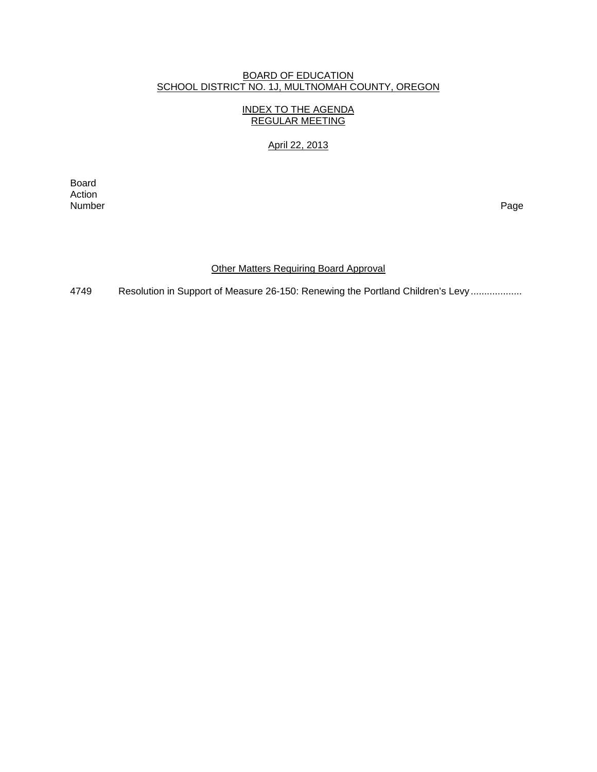#### BOARD OF EDUCATION SCHOOL DISTRICT NO. 1J, MULTNOMAH COUNTY, OREGON

### INDEX TO THE AGENDA REGULAR MEETING

# April 22, 2013

**Board Board** Action<br>Number Number Page

## **Other Matters Requiring Board Approval**

4749 Resolution in Support of Measure 26-150: Renewing the Portland Children's Levy ...................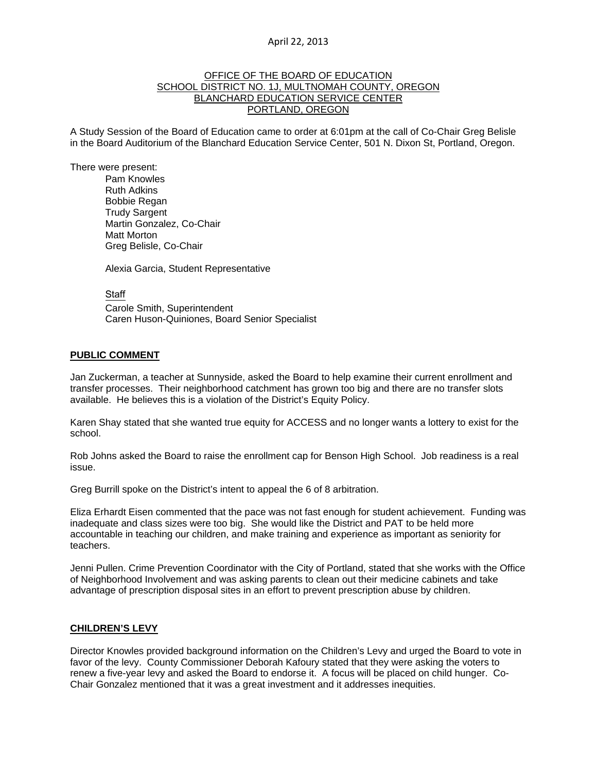#### April 22, 2013

#### OFFICE OF THE BOARD OF EDUCATION SCHOOL DISTRICT NO. 1J, MULTNOMAH COUNTY, OREGON BLANCHARD EDUCATION SERVICE CENTER PORTLAND, OREGON

A Study Session of the Board of Education came to order at 6:01pm at the call of Co-Chair Greg Belisle in the Board Auditorium of the Blanchard Education Service Center, 501 N. Dixon St, Portland, Oregon.

There were present: Pam Knowles

Ruth Adkins Bobbie Regan Trudy Sargent Martin Gonzalez, Co-Chair Matt Morton Greg Belisle, Co-Chair

Alexia Garcia, Student Representative

**Staff** 

 Carole Smith, Superintendent Caren Huson-Quiniones, Board Senior Specialist

#### **PUBLIC COMMENT**

Jan Zuckerman, a teacher at Sunnyside, asked the Board to help examine their current enrollment and transfer processes. Their neighborhood catchment has grown too big and there are no transfer slots available. He believes this is a violation of the District's Equity Policy.

Karen Shay stated that she wanted true equity for ACCESS and no longer wants a lottery to exist for the school.

Rob Johns asked the Board to raise the enrollment cap for Benson High School. Job readiness is a real issue.

Greg Burrill spoke on the District's intent to appeal the 6 of 8 arbitration.

Eliza Erhardt Eisen commented that the pace was not fast enough for student achievement. Funding was inadequate and class sizes were too big. She would like the District and PAT to be held more accountable in teaching our children, and make training and experience as important as seniority for teachers.

Jenni Pullen. Crime Prevention Coordinator with the City of Portland, stated that she works with the Office of Neighborhood Involvement and was asking parents to clean out their medicine cabinets and take advantage of prescription disposal sites in an effort to prevent prescription abuse by children.

#### **CHILDREN'S LEVY**

Director Knowles provided background information on the Children's Levy and urged the Board to vote in favor of the levy. County Commissioner Deborah Kafoury stated that they were asking the voters to renew a five-year levy and asked the Board to endorse it. A focus will be placed on child hunger. Co-Chair Gonzalez mentioned that it was a great investment and it addresses inequities.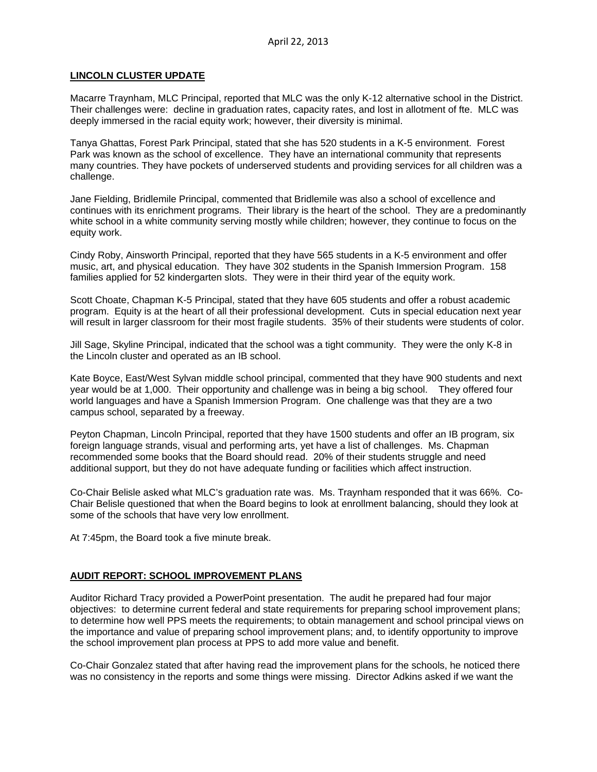### **LINCOLN CLUSTER UPDATE**

Macarre Traynham, MLC Principal, reported that MLC was the only K-12 alternative school in the District. Their challenges were: decline in graduation rates, capacity rates, and lost in allotment of fte. MLC was deeply immersed in the racial equity work; however, their diversity is minimal.

Tanya Ghattas, Forest Park Principal, stated that she has 520 students in a K-5 environment. Forest Park was known as the school of excellence. They have an international community that represents many countries. They have pockets of underserved students and providing services for all children was a challenge.

Jane Fielding, Bridlemile Principal, commented that Bridlemile was also a school of excellence and continues with its enrichment programs. Their library is the heart of the school. They are a predominantly white school in a white community serving mostly while children; however, they continue to focus on the equity work.

Cindy Roby, Ainsworth Principal, reported that they have 565 students in a K-5 environment and offer music, art, and physical education. They have 302 students in the Spanish Immersion Program. 158 families applied for 52 kindergarten slots. They were in their third year of the equity work.

Scott Choate, Chapman K-5 Principal, stated that they have 605 students and offer a robust academic program. Equity is at the heart of all their professional development. Cuts in special education next year will result in larger classroom for their most fragile students. 35% of their students were students of color.

Jill Sage, Skyline Principal, indicated that the school was a tight community. They were the only K-8 in the Lincoln cluster and operated as an IB school.

Kate Boyce, East/West Sylvan middle school principal, commented that they have 900 students and next year would be at 1,000. Their opportunity and challenge was in being a big school. They offered four world languages and have a Spanish Immersion Program. One challenge was that they are a two campus school, separated by a freeway.

Peyton Chapman, Lincoln Principal, reported that they have 1500 students and offer an IB program, six foreign language strands, visual and performing arts, yet have a list of challenges. Ms. Chapman recommended some books that the Board should read. 20% of their students struggle and need additional support, but they do not have adequate funding or facilities which affect instruction.

Co-Chair Belisle asked what MLC's graduation rate was. Ms. Traynham responded that it was 66%. Co-Chair Belisle questioned that when the Board begins to look at enrollment balancing, should they look at some of the schools that have very low enrollment.

At 7:45pm, the Board took a five minute break.

### **AUDIT REPORT: SCHOOL IMPROVEMENT PLANS**

Auditor Richard Tracy provided a PowerPoint presentation. The audit he prepared had four major objectives: to determine current federal and state requirements for preparing school improvement plans; to determine how well PPS meets the requirements; to obtain management and school principal views on the importance and value of preparing school improvement plans; and, to identify opportunity to improve the school improvement plan process at PPS to add more value and benefit.

Co-Chair Gonzalez stated that after having read the improvement plans for the schools, he noticed there was no consistency in the reports and some things were missing. Director Adkins asked if we want the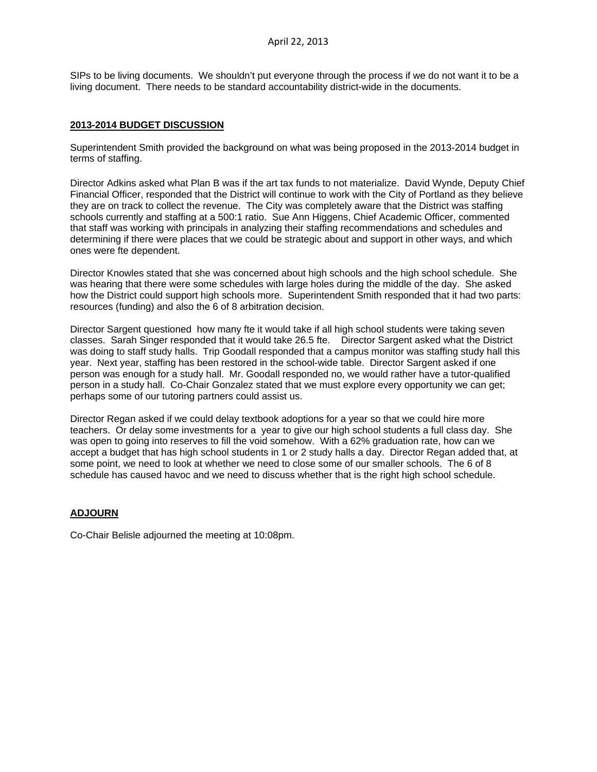SIPs to be living documents. We shouldn't put everyone through the process if we do not want it to be a living document. There needs to be standard accountability district-wide in the documents.

#### **2013-2014 BUDGET DISCUSSION**

Superintendent Smith provided the background on what was being proposed in the 2013-2014 budget in terms of staffing.

Director Adkins asked what Plan B was if the art tax funds to not materialize. David Wynde, Deputy Chief Financial Officer, responded that the District will continue to work with the City of Portland as they believe they are on track to collect the revenue. The City was completely aware that the District was staffing schools currently and staffing at a 500:1 ratio. Sue Ann Higgens, Chief Academic Officer, commented that staff was working with principals in analyzing their staffing recommendations and schedules and determining if there were places that we could be strategic about and support in other ways, and which ones were fte dependent.

Director Knowles stated that she was concerned about high schools and the high school schedule. She was hearing that there were some schedules with large holes during the middle of the day. She asked how the District could support high schools more. Superintendent Smith responded that it had two parts: resources (funding) and also the 6 of 8 arbitration decision.

Director Sargent questioned how many fte it would take if all high school students were taking seven classes. Sarah Singer responded that it would take 26.5 fte. Director Sargent asked what the District was doing to staff study halls. Trip Goodall responded that a campus monitor was staffing study hall this year. Next year, staffing has been restored in the school-wide table. Director Sargent asked if one person was enough for a study hall. Mr. Goodall responded no, we would rather have a tutor-qualified person in a study hall. Co-Chair Gonzalez stated that we must explore every opportunity we can get; perhaps some of our tutoring partners could assist us.

Director Regan asked if we could delay textbook adoptions for a year so that we could hire more teachers. Or delay some investments for a year to give our high school students a full class day. She was open to going into reserves to fill the void somehow. With a 62% graduation rate, how can we accept a budget that has high school students in 1 or 2 study halls a day. Director Regan added that, at some point, we need to look at whether we need to close some of our smaller schools. The 6 of 8 schedule has caused havoc and we need to discuss whether that is the right high school schedule.

### **ADJOURN**

Co-Chair Belisle adjourned the meeting at 10:08pm.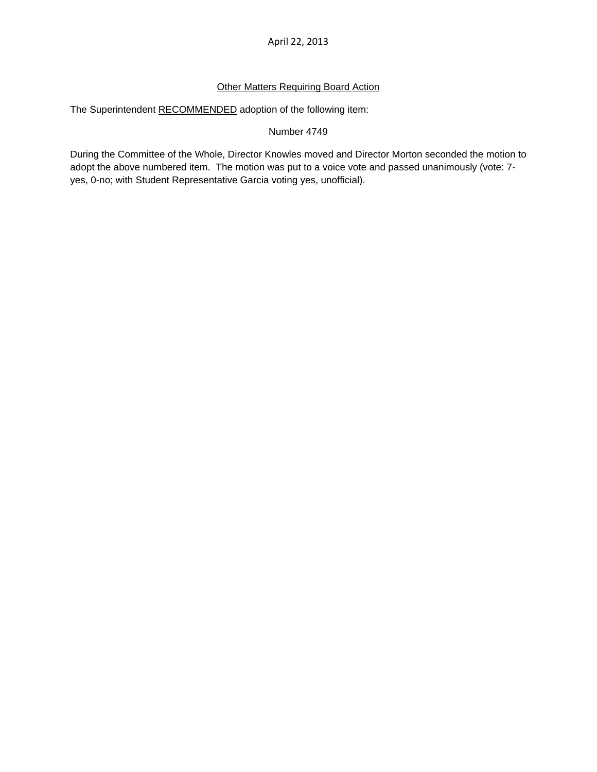April 22, 2013

## **Other Matters Requiring Board Action**

The Superintendent RECOMMENDED adoption of the following item:

### Number 4749

During the Committee of the Whole, Director Knowles moved and Director Morton seconded the motion to adopt the above numbered item. The motion was put to a voice vote and passed unanimously (vote: 7 yes, 0-no; with Student Representative Garcia voting yes, unofficial).